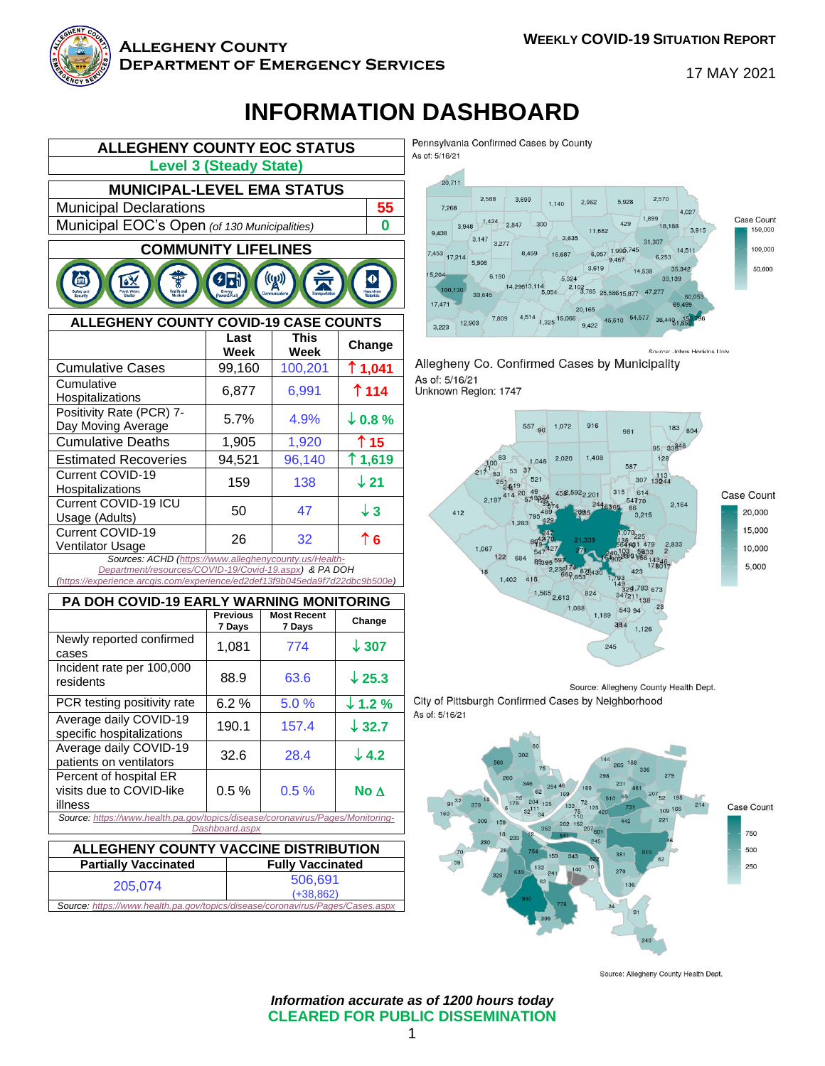

#### **Allegheny County Department of Emergency Services**

17 MAY 2021

## **INFORMATION DASHBOARD**



|                                                                                                                | Last<br>Week | <b>This</b><br>Week | Change             |  |
|----------------------------------------------------------------------------------------------------------------|--------------|---------------------|--------------------|--|
| <b>Cumulative Cases</b>                                                                                        | 99,160       | 100,201             | ↑1,041             |  |
| Cumulative<br>Hospitalizations                                                                                 | 6,877        | 6,991               | $\uparrow$ 114     |  |
| Positivity Rate (PCR) 7-<br>Day Moving Average                                                                 | 5.7%         | 4.9%                | $\downarrow$ 0.8 % |  |
| <b>Cumulative Deaths</b>                                                                                       | 1,905        | 1,920               | ↑ 15               |  |
| <b>Estimated Recoveries</b>                                                                                    | 94,521       | 96,140              | ↑1,619             |  |
| Current COVID-19<br>Hospitalizations                                                                           | 159          | 138                 | $\downarrow$ 21    |  |
| Current COVID-19 ICU<br>Usage (Adults)                                                                         | 50           | 47                  | $\downarrow$ 3     |  |
| <b>Current COVID-19</b><br><b>Ventilator Usage</b>                                                             | 26           | 32                  | $\uparrow$ 6       |  |
| Sources: ACHD (https://www.alleghenycounty.us/Health-<br>Department/resources/COVID-19/Covid-19.aspx) & PA DOH |              |                     |                    |  |

*[\(https://experience.arcgis.com/experience/ed2def13f9b045eda9f7d22dbc9b500e\)](https://experience.arcgis.com/experience/ed2def13f9b045eda9f7d22dbc9b500e)*

| PA DOH COVID-19 EARLY WARNING MONITORING                                                         |                           |                              |                    |  |  |
|--------------------------------------------------------------------------------------------------|---------------------------|------------------------------|--------------------|--|--|
|                                                                                                  | <b>Previous</b><br>7 Days | <b>Most Recent</b><br>7 Days | Change             |  |  |
| Newly reported confirmed<br>cases                                                                | 1,081                     | 774                          | $\downarrow$ 307   |  |  |
| Incident rate per 100,000<br>residents                                                           | 88.9                      | 63.6                         | $\downarrow$ 25.3  |  |  |
| PCR testing positivity rate                                                                      | 6.2%                      | 5.0%                         | $\downarrow$ 1.2 % |  |  |
| Average daily COVID-19<br>specific hospitalizations                                              | 190.1                     | 157.4                        | $\downarrow$ 32.7  |  |  |
| Average daily COVID-19<br>patients on ventilators                                                | 32.6                      | 28.4                         | $\downarrow$ 4.2   |  |  |
| Percent of hospital ER<br>visits due to COVID-like<br>illness                                    | 0.5%                      | 0.5%                         | No $\Delta$        |  |  |
| Source: https://www.health.pa.gov/topics/disease/coronavirus/Pages/Monitoring-<br>Dashboard.aspx |                           |                              |                    |  |  |

| ALLEGHENY COUNTY VACCINE DISTRIBUTION                                         |                         |  |  |
|-------------------------------------------------------------------------------|-------------------------|--|--|
| <b>Partially Vaccinated</b>                                                   | <b>Fully Vaccinated</b> |  |  |
| 205,074                                                                       | 506,691<br>$(+38.862)$  |  |  |
| Source: https://www.health.pa.gov/topics/disease/coronavirus/Pages/Cases.aspx |                         |  |  |

Pennsylvania Confirmed Cases by County



Allegheny Co. Confirmed Cases by Municipality As of: 5/16/21 Unknown Region: 1747



Source: Allegheny County Health Dept. City of Pittsburgh Confirmed Cases by Neighborhood



Source: Allegheny County Health Dept.

*Information accurate as of 1200 hours today* **CLEARED FOR PUBLIC DISSEMINATION**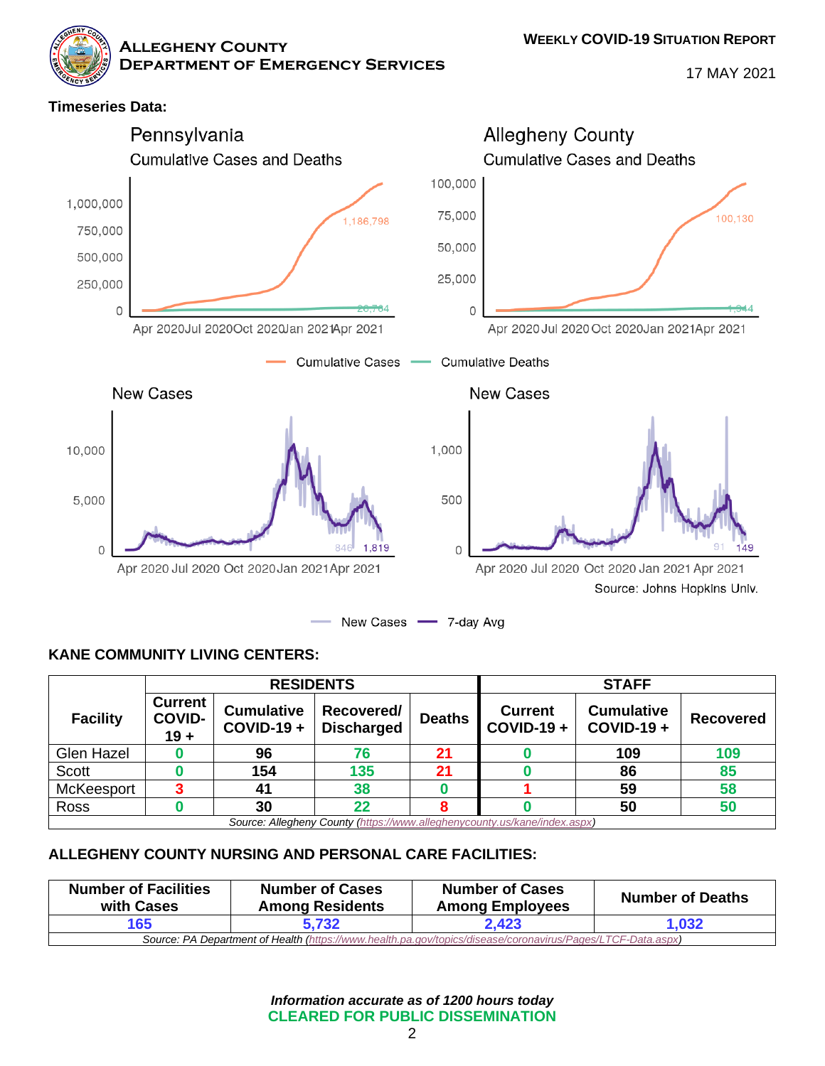**Allegheny County**

**Department of Emergency Services**

17 MAY 2021

#### **Timeseries Data:** Pennsylvania **Allegheny County Cumulative Cases and Deaths Cumulative Cases and Deaths** 100,000 1.000.000 75,000 100.130 1,186,798 750,000 50,000 500,000 25,000 250,000  $\overline{0}$  $\overline{O}$ Apr 2020Jul 2020Oct 2020Jan 2021Apr 2021 Apr 2020 Jul 2020 Oct 2020 Jan 2021 Apr 2021 **Cumulative Cases Cumulative Deaths New Cases New Cases** 10,000 1,000 500 5,000  $\Omega$ 1,819  $\overline{0}$ 49 Apr 2020 Jul 2020 Oct 2020 Jan 2021 Apr 2021 Apr 2020 Jul 2020 Oct 2020 Jan 2021 Apr 2021 Source: Johns Hopkins Univ. New Cases 7-day Avg

#### **KANE COMMUNITY LIVING CENTERS:**

|                 | <b>RESIDENTS</b>                          |                                   |                                 | <b>STAFF</b>  |                                |                                   |           |
|-----------------|-------------------------------------------|-----------------------------------|---------------------------------|---------------|--------------------------------|-----------------------------------|-----------|
| <b>Facility</b> | <b>Current</b><br><b>COVID-</b><br>$19 +$ | <b>Cumulative</b><br>$COVID-19 +$ | Recovered/<br><b>Discharged</b> | <b>Deaths</b> | <b>Current</b><br>$COVID-19 +$ | <b>Cumulative</b><br>$COVID-19 +$ | Recovered |
| Glen Hazel      |                                           | 96                                | 76                              | 21            |                                | 109                               | 109       |
| Scott           |                                           | 154                               | 135                             | 21            |                                | 86                                | 85        |
| McKeesport      |                                           | 41                                | 38                              |               |                                | 59                                | 58        |
| Ross            |                                           | 30                                | 22                              |               |                                | 50                                | 50        |

*Source: Allegheny County [\(https://www.alleghenycounty.us/kane/index.aspx\)](https://www.alleghenycounty.us/kane/index.aspx)*

#### **ALLEGHENY COUNTY NURSING AND PERSONAL CARE FACILITIES:**

| <b>Number of Facilities</b><br>with Cases                                                                   | <b>Number of Cases</b><br><b>Among Residents</b> | <b>Number of Cases</b><br><b>Among Employees</b> | <b>Number of Deaths</b> |  |
|-------------------------------------------------------------------------------------------------------------|--------------------------------------------------|--------------------------------------------------|-------------------------|--|
| 165                                                                                                         | 5.732                                            | 2,423                                            | 1,032                   |  |
| Source: PA Department of Health (https://www.health.pa.gov/topics/disease/coronavirus/Pages/LTCF-Data.aspx) |                                                  |                                                  |                         |  |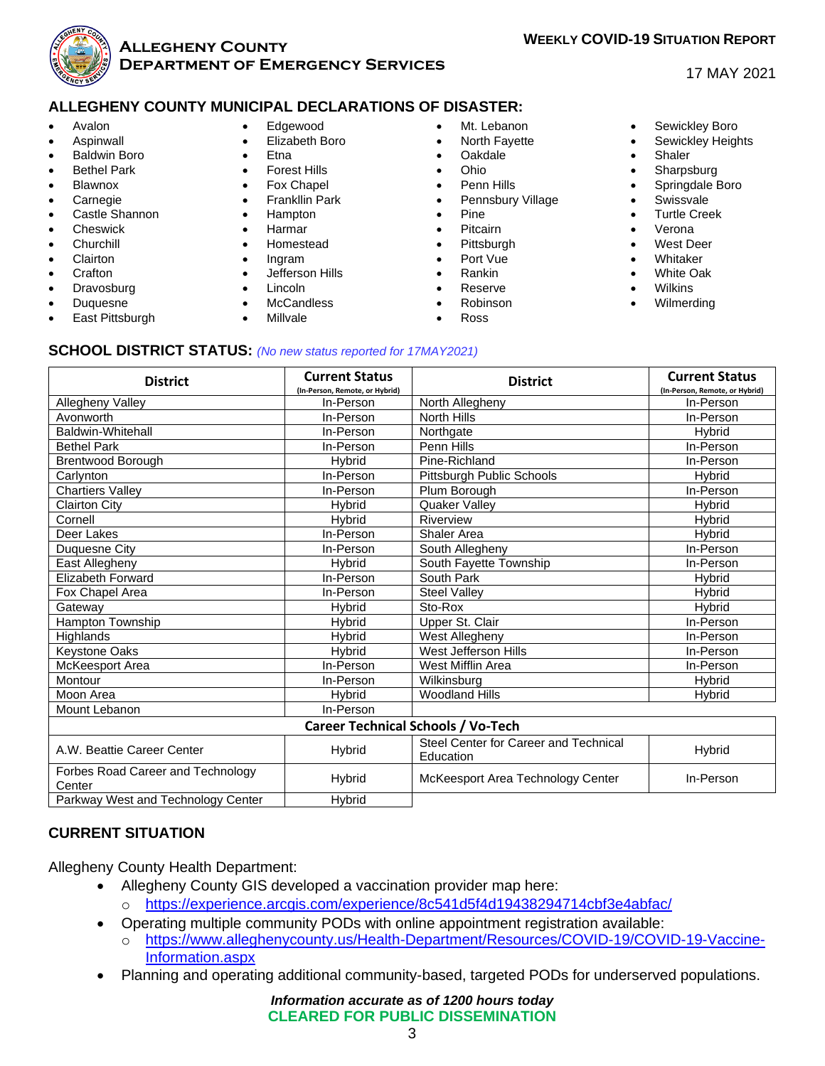

#### **Allegheny County Department of Emergency Services**

## **WEEKLY COVID-19 SITUATION REPORT**

#### 17 MAY 2021

#### **ALLEGHENY COUNTY MUNICIPAL DECLARATIONS OF DISASTER:**

- Avalon
- **Aspinwall**
- Baldwin Boro
- **Bethel Park**
- **Blawnox**
- **Carnegie**
- Castle Shannon
- Cheswick
- **Churchill**
- **Clairton**
- **Crafton**
- **Dravosburg**
- Duquesne
- East Pittsburgh
- Edgewood
- Elizabeth Boro
- Etna
- **Forest Hills**
- Fox Chapel
- Frankllin Park
- Hampton
- Harmar
- Homestead
- Ingram
- Jefferson Hills
- Lincoln
- **McCandless**
- Millvale
- Mt. Lebanon
- North Fayette
- Oakdale
- Ohio
- Penn Hills
- Pennsbury Village
- Pine
- Pitcairn
- **Pittsburgh**
- Port Vue
- Rankin
- **Reserve** • Robinson
- 
- Ross
- Sewickley Boro
- Sewickley Heights
- Shaler
- **Sharpsburg**
- Springdale Boro
- **Swissvale**
- Turtle Creek
- Verona
- West Deer
- **Whitaker**
- White Oak
- **Wilkins**
- Wilmerding

#### **SCHOOL DISTRICT STATUS:** *(No new status reported for 17MAY2021)*

| <b>District</b>                             | <b>Current Status</b><br>(In-Person, Remote, or Hybrid) | <b>District</b>                                    | <b>Current Status</b><br>(In-Person, Remote, or Hybrid) |  |  |  |
|---------------------------------------------|---------------------------------------------------------|----------------------------------------------------|---------------------------------------------------------|--|--|--|
| Allegheny Valley                            | In-Person                                               | North Allegheny                                    | In-Person                                               |  |  |  |
| Avonworth                                   | In-Person                                               | <b>North Hills</b>                                 | In-Person                                               |  |  |  |
| <b>Baldwin-Whitehall</b>                    | In-Person                                               | Northgate                                          | <b>H</b> vbrid                                          |  |  |  |
| <b>Bethel Park</b>                          | In-Person                                               | Penn Hills                                         | In-Person                                               |  |  |  |
| Brentwood Borough                           | <b>H</b> vbrid                                          | Pine-Richland                                      | In-Person                                               |  |  |  |
| Carlynton                                   | In-Person                                               | Pittsburgh Public Schools                          | Hybrid                                                  |  |  |  |
| <b>Chartiers Valley</b>                     | In-Person                                               | Plum Borough                                       | In-Person                                               |  |  |  |
| <b>Clairton City</b>                        | <b>H</b> vbrid                                          | <b>Quaker Valley</b>                               | <b>H</b> vbrid                                          |  |  |  |
| Cornell                                     | Hybrid                                                  | Riverview                                          | <b>Hybrid</b>                                           |  |  |  |
| Deer Lakes                                  | In-Person                                               | <b>Shaler Area</b>                                 | Hybrid                                                  |  |  |  |
| Duquesne City                               | In-Person                                               | South Allegheny                                    | In-Person                                               |  |  |  |
| East Allegheny                              | <b>Hybrid</b>                                           | South Fayette Township                             | In-Person                                               |  |  |  |
| <b>Elizabeth Forward</b>                    | In-Person                                               | South Park                                         | Hybrid                                                  |  |  |  |
| Fox Chapel Area                             | In-Person                                               | <b>Steel Valley</b>                                | Hybrid                                                  |  |  |  |
| Gateway                                     | <b>H</b> vbrid                                          | Sto-Rox                                            | <b>H</b> vbrid                                          |  |  |  |
| Hampton Township                            | Hybrid                                                  | Upper St. Clair                                    | In-Person                                               |  |  |  |
| Highlands                                   | Hybrid                                                  | West Allegheny                                     | In-Person                                               |  |  |  |
| Keystone Oaks                               | Hybrid                                                  | West Jefferson Hills                               | In-Person                                               |  |  |  |
| McKeesport Area                             | In-Person                                               | West Mifflin Area                                  | In-Person                                               |  |  |  |
| Montour                                     | In-Person                                               | Wilkinsburg                                        | <b>H</b> vbrid                                          |  |  |  |
| Moon Area                                   | <b>H</b> vbrid                                          | <b>Woodland Hills</b>                              | <b>H</b> vbrid                                          |  |  |  |
| Mount Lebanon                               | In-Person                                               |                                                    |                                                         |  |  |  |
| <b>Career Technical Schools / Vo-Tech</b>   |                                                         |                                                    |                                                         |  |  |  |
| A.W. Beattie Career Center                  | Hybrid                                                  | Steel Center for Career and Technical<br>Education | Hybrid                                                  |  |  |  |
| Forbes Road Career and Technology<br>Center | <b>Hybrid</b>                                           | McKeesport Area Technology Center                  | In-Person                                               |  |  |  |

Parkway West and Technology Center | Hybrid

#### **CURRENT SITUATION**

Allegheny County Health Department:

- Allegheny County GIS developed a vaccination provider map here:
	- o <https://experience.arcgis.com/experience/8c541d5f4d19438294714cbf3e4abfac/>
- Operating multiple community PODs with online appointment registration available:
	- o [https://www.alleghenycounty.us/Health-Department/Resources/COVID-19/COVID-19-Vaccine-](https://www.alleghenycounty.us/Health-Department/Resources/COVID-19/COVID-19-Vaccine-Information.aspx)[Information.aspx](https://www.alleghenycounty.us/Health-Department/Resources/COVID-19/COVID-19-Vaccine-Information.aspx)
- Planning and operating additional community-based, targeted PODs for underserved populations.

*Information accurate as of 1200 hours today* **CLEARED FOR PUBLIC DISSEMINATION**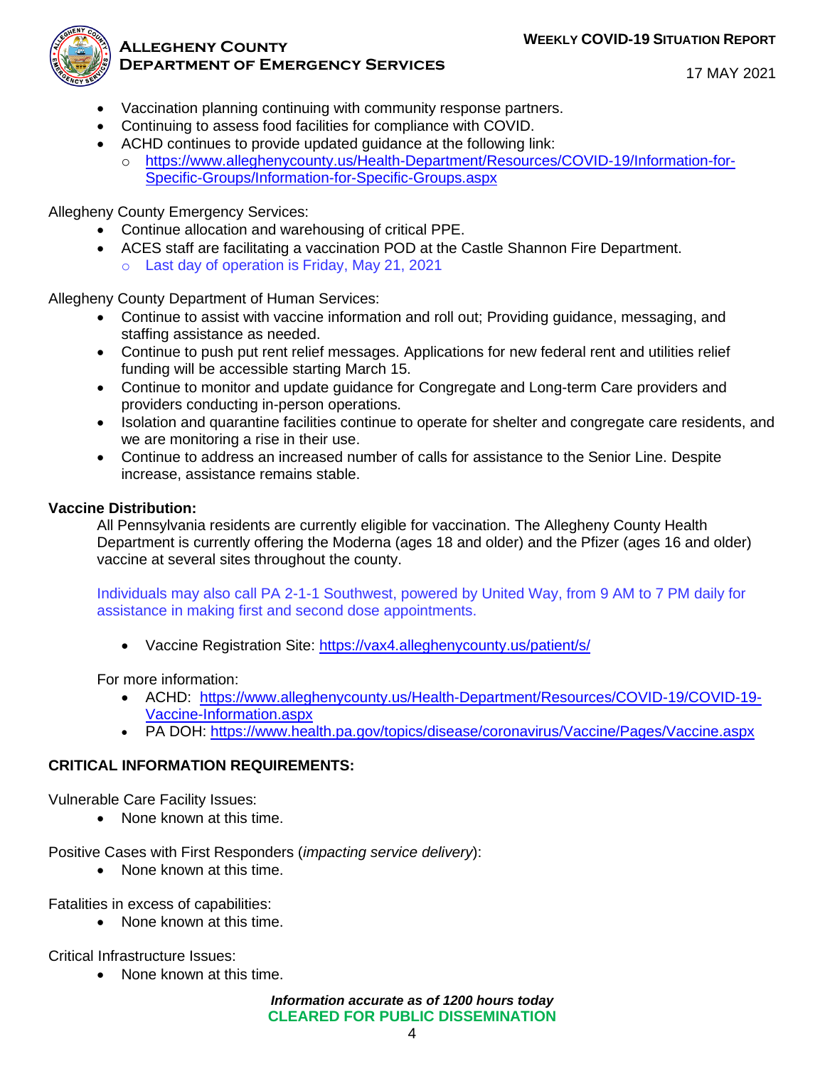

#### **Allegheny County Department of Emergency Services**

17 MAY 2021

- Vaccination planning continuing with community response partners.
- Continuing to assess food facilities for compliance with COVID.
- ACHD continues to provide updated guidance at the following link:
- o [https://www.alleghenycounty.us/Health-Department/Resources/COVID-19/Information-for-](https://www.alleghenycounty.us/Health-Department/Resources/COVID-19/Information-for-Specific-Groups/Information-for-Specific-Groups.aspx)[Specific-Groups/Information-for-Specific-Groups.aspx](https://www.alleghenycounty.us/Health-Department/Resources/COVID-19/Information-for-Specific-Groups/Information-for-Specific-Groups.aspx)

Allegheny County Emergency Services:

- Continue allocation and warehousing of critical PPE.
- ACES staff are facilitating a vaccination POD at the Castle Shannon Fire Department. o Last day of operation is Friday, May 21, 2021

Allegheny County Department of Human Services:

- Continue to assist with vaccine information and roll out; Providing guidance, messaging, and staffing assistance as needed.
- Continue to push put rent relief messages. Applications for new federal rent and utilities relief funding will be accessible starting March 15.
- Continue to monitor and update guidance for Congregate and Long-term Care providers and providers conducting in-person operations.
- Isolation and quarantine facilities continue to operate for shelter and congregate care residents, and we are monitoring a rise in their use.
- Continue to address an increased number of calls for assistance to the Senior Line. Despite increase, assistance remains stable.

#### **Vaccine Distribution:**

All Pennsylvania residents are currently eligible for vaccination. The Allegheny County Health Department is currently offering the Moderna (ages 18 and older) and the Pfizer (ages 16 and older) vaccine at several sites throughout the county.

Individuals may also call PA 2-1-1 Southwest, powered by United Way, from 9 AM to 7 PM daily for assistance in making first and second dose appointments.

• Vaccine Registration Site:<https://vax4.alleghenycounty.us/patient/s/>

For more information:

- ACHD: [https://www.alleghenycounty.us/Health-Department/Resources/COVID-19/COVID-19-](https://www.alleghenycounty.us/Health-Department/Resources/COVID-19/COVID-19-Vaccine-Information.aspx) [Vaccine-Information.aspx](https://www.alleghenycounty.us/Health-Department/Resources/COVID-19/COVID-19-Vaccine-Information.aspx)
- PA DOH:<https://www.health.pa.gov/topics/disease/coronavirus/Vaccine/Pages/Vaccine.aspx>

#### **CRITICAL INFORMATION REQUIREMENTS:**

Vulnerable Care Facility Issues:

• None known at this time.

Positive Cases with First Responders (*impacting service delivery*):

• None known at this time.

Fatalities in excess of capabilities:

• None known at this time.

Critical Infrastructure Issues:

• None known at this time.

*Information accurate as of 1200 hours today* **CLEARED FOR PUBLIC DISSEMINATION**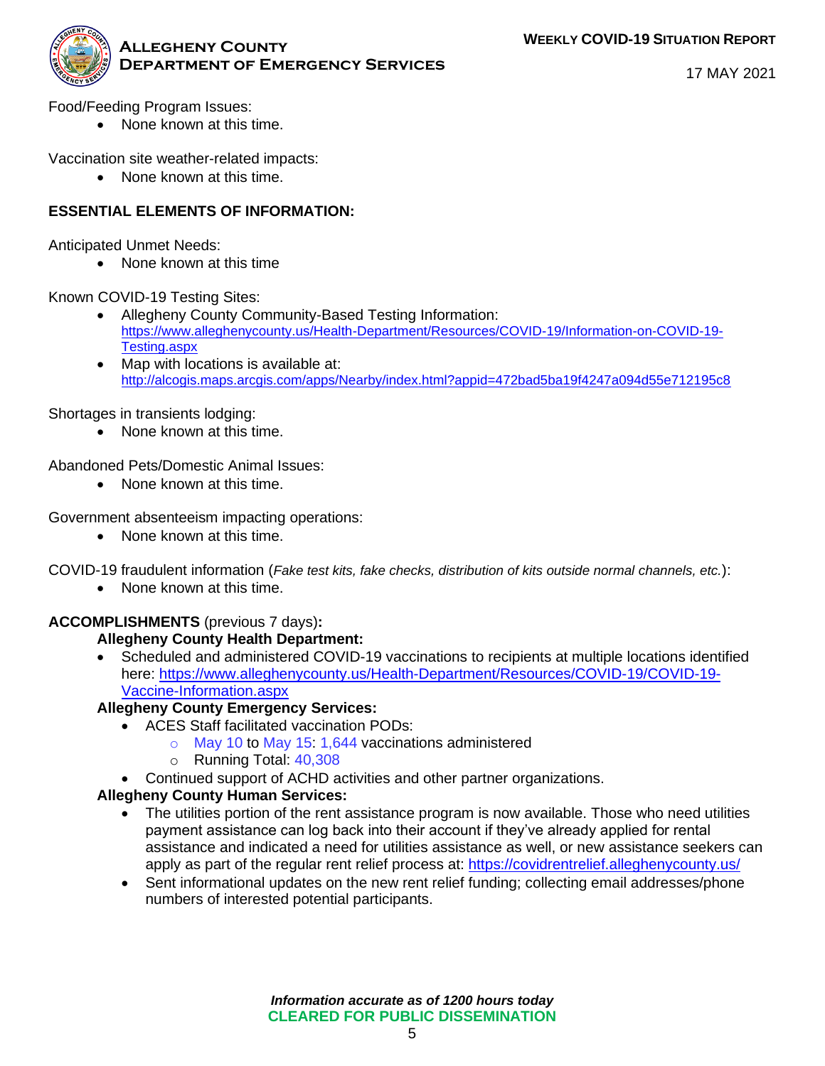

17 MAY 2021

Food/Feeding Program Issues:

• None known at this time.

Vaccination site weather-related impacts:

• None known at this time.

#### **ESSENTIAL ELEMENTS OF INFORMATION:**

Anticipated Unmet Needs:

• None known at this time

Known COVID-19 Testing Sites:

- Allegheny County Community-Based Testing Information: [https://www.alleghenycounty.us/Health-Department/Resources/COVID-19/Information-on-COVID-19-](https://www.alleghenycounty.us/Health-Department/Resources/COVID-19/Information-on-COVID-19-Testing.aspx) [Testing.aspx](https://www.alleghenycounty.us/Health-Department/Resources/COVID-19/Information-on-COVID-19-Testing.aspx)
- Map with locations is available at: <http://alcogis.maps.arcgis.com/apps/Nearby/index.html?appid=472bad5ba19f4247a094d55e712195c8>

Shortages in transients lodging:

• None known at this time.

Abandoned Pets/Domestic Animal Issues:

• None known at this time.

Government absenteeism impacting operations:

• None known at this time.

COVID-19 fraudulent information (*Fake test kits, fake checks, distribution of kits outside normal channels, etc.*):

• None known at this time.

#### **ACCOMPLISHMENTS** (previous 7 days)**:**

#### **Allegheny County Health Department:**

• Scheduled and administered COVID-19 vaccinations to recipients at multiple locations identified here: [https://www.alleghenycounty.us/Health-Department/Resources/COVID-19/COVID-19-](https://www.alleghenycounty.us/Health-Department/Resources/COVID-19/COVID-19-Vaccine-Information.aspx) [Vaccine-Information.aspx](https://www.alleghenycounty.us/Health-Department/Resources/COVID-19/COVID-19-Vaccine-Information.aspx)

#### **Allegheny County Emergency Services:**

- ACES Staff facilitated vaccination PODs:
	- o May 10 to May 15: 1,644 vaccinations administered
	- o Running Total: 40,308
- Continued support of ACHD activities and other partner organizations.

#### **Allegheny County Human Services:**

- The utilities portion of the rent assistance program is now available. Those who need utilities payment assistance can log back into their account if they've already applied for rental assistance and indicated a need for utilities assistance as well, or new assistance seekers can apply as part of the regular rent relief process at:<https://covidrentrelief.alleghenycounty.us/>
- Sent informational updates on the new rent relief funding; collecting email addresses/phone numbers of interested potential participants.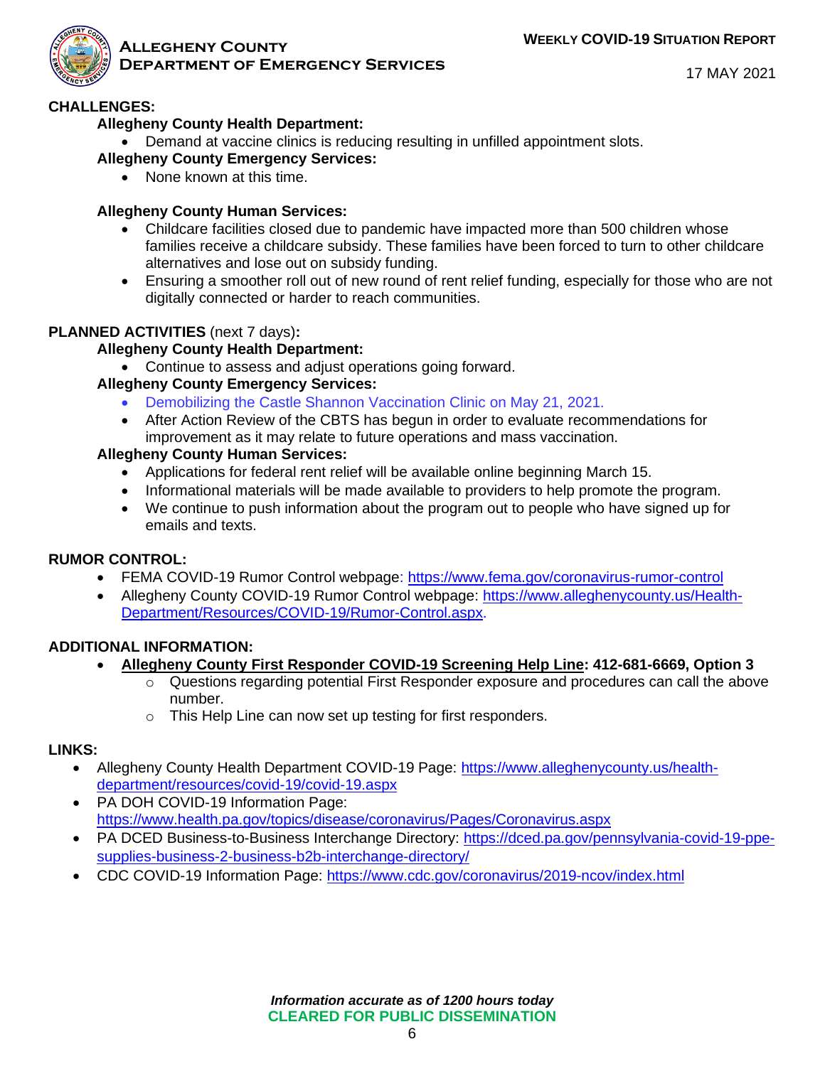

#### **Allegheny County Department of Emergency Services**

17 MAY 2021

#### **CHALLENGES:**

#### **Allegheny County Health Department:**

• Demand at vaccine clinics is reducing resulting in unfilled appointment slots.

#### **Allegheny County Emergency Services:**

• None known at this time.

#### **Allegheny County Human Services:**

- Childcare facilities closed due to pandemic have impacted more than 500 children whose families receive a childcare subsidy. These families have been forced to turn to other childcare alternatives and lose out on subsidy funding.
- Ensuring a smoother roll out of new round of rent relief funding, especially for those who are not digitally connected or harder to reach communities.

#### **PLANNED ACTIVITIES** (next 7 days)**:**

#### **Allegheny County Health Department:**

• Continue to assess and adjust operations going forward.

#### **Allegheny County Emergency Services:**

- Demobilizing the Castle Shannon Vaccination Clinic on May 21, 2021.
- After Action Review of the CBTS has begun in order to evaluate recommendations for improvement as it may relate to future operations and mass vaccination.

#### **Allegheny County Human Services:**

- Applications for federal rent relief will be available online beginning March 15.
- Informational materials will be made available to providers to help promote the program.
- We continue to push information about the program out to people who have signed up for emails and texts.

#### **RUMOR CONTROL:**

- FEMA COVID-19 Rumor Control webpage:<https://www.fema.gov/coronavirus-rumor-control>
- Allegheny County COVID-19 Rumor Control webpage: [https://www.alleghenycounty.us/Health-](https://www.alleghenycounty.us/Health-Department/Resources/COVID-19/Rumor-Control.aspx)[Department/Resources/COVID-19/Rumor-Control.aspx.](https://www.alleghenycounty.us/Health-Department/Resources/COVID-19/Rumor-Control.aspx)

#### **ADDITIONAL INFORMATION:**

- **Allegheny County First Responder COVID-19 Screening Help Line: 412-681-6669, Option 3**
	- o Questions regarding potential First Responder exposure and procedures can call the above number.
		- o This Help Line can now set up testing for first responders.

#### **LINKS:**

- Allegheny County Health Department COVID-19 Page: [https://www.alleghenycounty.us/health](https://www.alleghenycounty.us/health-department/resources/covid-19/covid-19.aspx)[department/resources/covid-19/covid-19.aspx](https://www.alleghenycounty.us/health-department/resources/covid-19/covid-19.aspx)
- PA DOH COVID-19 Information Page: <https://www.health.pa.gov/topics/disease/coronavirus/Pages/Coronavirus.aspx>
- PA DCED Business-to-Business Interchange Directory: [https://dced.pa.gov/pennsylvania-covid-19-ppe](https://dced.pa.gov/pennsylvania-covid-19-ppe-supplies-business-2-business-b2b-interchange-directory/)[supplies-business-2-business-b2b-interchange-directory/](https://dced.pa.gov/pennsylvania-covid-19-ppe-supplies-business-2-business-b2b-interchange-directory/)
- CDC COVID-19 Information Page:<https://www.cdc.gov/coronavirus/2019-ncov/index.html>